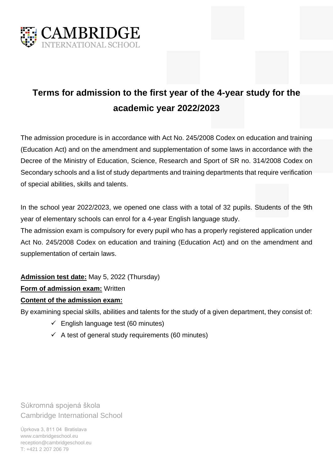

# **Terms for admission to the first year of the 4-year study for the academic year 2022/2023**

The admission procedure is in accordance with Act No. 245/2008 Codex on education and training (Education Act) and on the amendment and supplementation of some laws in accordance with the Decree of the Ministry of Education, Science, Research and Sport of SR no. 314/2008 Codex on Secondary schools and a list of study departments and training departments that require verification of special abilities, skills and talents.

In the school year 2022/2023, we opened one class with a total of 32 pupils. Students of the 9th year of elementary schools can enrol for a 4-year English language study.

The admission exam is compulsory for every pupil who has a properly registered application under Act No. 245/2008 Codex on education and training (Education Act) and on the amendment and supplementation of certain laws.

**Admission test date:** May 5, 2022 (Thursday)

## **Form of admission exam:** Written

#### **Content of the admission exam:**

By examining special skills, abilities and talents for the study of a given department, they consist of:

- $\checkmark$  English language test (60 minutes)
- $\checkmark$  A test of general study requirements (60 minutes)

Súkromná spojená škola Cambridge International School

Úprkova 3, 811 04 Bratislava www.cambridgeschool.eu reception@cambridgeschool.eu T: +421 2 207 206 79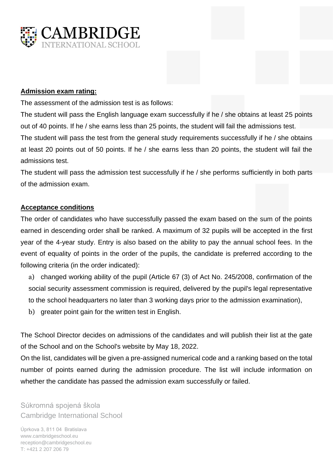

#### **Admission exam rating:**

The assessment of the admission test is as follows:

The student will pass the English language exam successfully if he / she obtains at least 25 points out of 40 points. If he / she earns less than 25 points, the student will fail the admissions test. The student will pass the test from the general study requirements successfully if he / she obtains at least 20 points out of 50 points. If he / she earns less than 20 points, the student will fail the admissions test.

The student will pass the admission test successfully if he / she performs sufficiently in both parts of the admission exam.

### **Acceptance conditions**

The order of candidates who have successfully passed the exam based on the sum of the points earned in descending order shall be ranked. A maximum of 32 pupils will be accepted in the first year of the 4-year study. Entry is also based on the ability to pay the annual school fees. In the event of equality of points in the order of the pupils, the candidate is preferred according to the following criteria (in the order indicated):

a) changed working ability of the pupil (Article 67 (3) of Act No. 245/2008, confirmation of the social security assessment commission is required, delivered by the pupil's legal representative to the school headquarters no later than 3 working days prior to the admission examination),

b) greater point gain for the written test in English.

The School Director decides on admissions of the candidates and will publish their list at the gate of the School and on the School's website by May 18, 2022.

On the list, candidates will be given a pre-assigned numerical code and a ranking based on the total number of points earned during the admission procedure. The list will include information on whether the candidate has passed the admission exam successfully or failed.

Súkromná spojená škola Cambridge International School

Úprkova 3, 811 04 Bratislava www.cambridgeschool.eu reception@cambridgeschool.eu T: +421 2 207 206 79